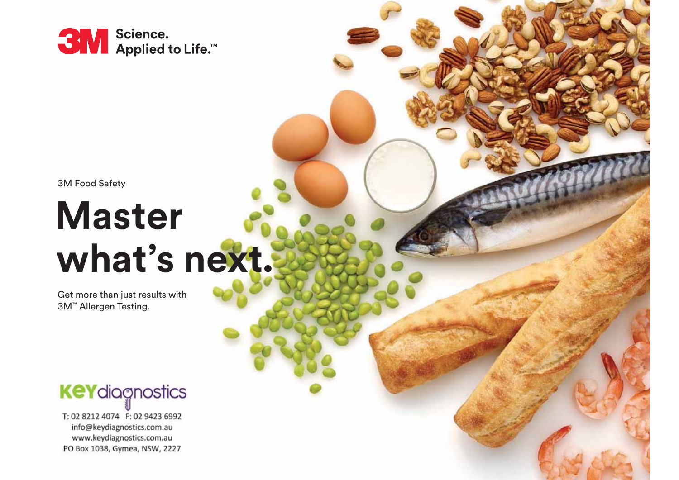

3M Food Safety

# **Master what's next.**

Get more than just results with 3M ™ Allergen Testing.

## **KeY**diagnostics

T: 02 8212 4074 F: 02 9423 6992 info@keydiagnostics.com.au www.keydiagnostics.com.au PO Box 1038, Gymea, NSW, 2227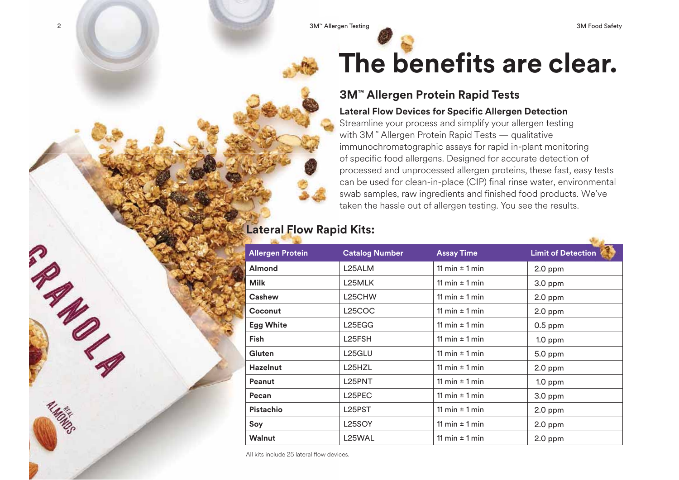2 Allergen Testing Allergen Testing Allergen Testing Allergen Testing Allergen Testing Allergen Testing Allergen Testing Allergen Testing Allergen Testing Allergen Testing Allergen Testing Allergen Testing Allergen Testin



## **The benefits are clear.**

## **3M™ Allergen Protein Rapid Tests**

### **Lateral Flow Devices for Specific Allergen Detection**

Streamline your process and simplify your allergen testing with 3M™ Allergen Protein Rapid Tests — qualitative immunochromatographic assays for rapid in-plant monitoring of specific food allergens. Designed for accurate detection of processed and unprocessed allergen proteins, these fast, easy tests can be used for clean-in-place (CIP) final rinse water, environmental swab samples, raw ingredients and finished food products. We've taken the hassle out of allergen testing. You see the results.

## **Lateral Flow Rapid Kits:**

|             | <b>Allergen Protein</b> | <b>Catalog Number</b> | <b>Assay Time</b>  | <b>Limit of Detection</b> |
|-------------|-------------------------|-----------------------|--------------------|---------------------------|
|             | <b>Almond</b>           | L25ALM                | 11 min $\pm$ 1 min | 2.0 ppm                   |
| <b>Milk</b> |                         | L25MLK                | 11 min $\pm$ 1 min | 3.0 ppm                   |
|             | Cashew                  | L25CHW                | 11 min $\pm$ 1 min | $2.0$ ppm                 |
|             | Coconut                 | <b>L25COC</b>         | 11 min $\pm$ 1 min | $2.0$ ppm                 |
|             | <b>Egg White</b>        | L25EGG                | 11 min $\pm$ 1 min | $0.5$ ppm                 |
| <b>Fish</b> |                         | L <sub>25</sub> FSH   | 11 min $\pm$ 1 min | $1.0$ ppm                 |
|             | Gluten                  | L25GLU                | 11 min $\pm$ 1 min | 5.0 ppm                   |
|             | <b>Hazelnut</b>         | L25HZL                | 11 min $\pm$ 1 min | $2.0$ ppm                 |
|             | Peanut                  | L <sub>25</sub> PNT   | 11 min $\pm$ 1 min | $1.0$ ppm                 |
| Pecan       |                         | L <sub>25</sub> PEC   | 11 min $\pm$ 1 min | $3.0$ ppm                 |
|             | <b>Pistachio</b>        | L25PST                | 11 min $\pm$ 1 min | $2.0$ ppm                 |
| Soy         |                         | L25SOY                | 11 min $\pm$ 1 min | $2.0$ ppm                 |
|             | <b>Walnut</b>           | L <sub>25</sub> WAL   | 11 min $\pm$ 1 min | $2.0$ ppm                 |

All kits include 25 lateral flow devices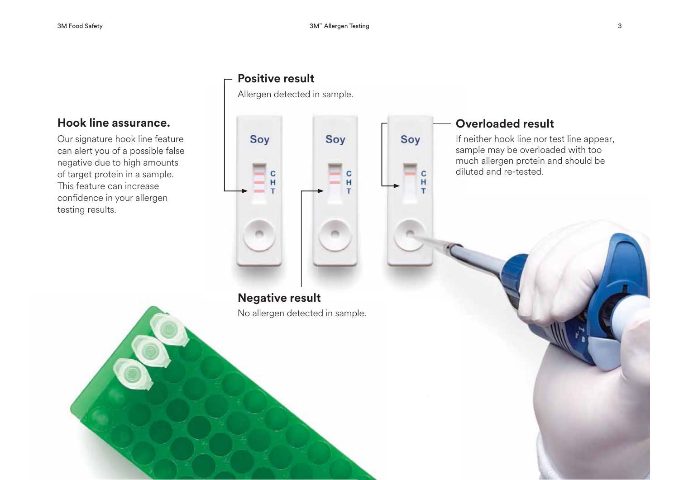Soy

 $\mathbf{C}$ 

 $H$ 

T

## **Hook line assurance.**

Our signature hook line feature can alert you of a possible false negative due to high amounts of target protein in a sample. This feature can increase confidence in your allergen testing results.

## **Positive result**

Allergen detected in sample.



## **Negative result Negativ ve result**

No allergen detected in sample.

## **Overloaded result**

If neither hook line nor test line appear, sample may be overloaded with too much allergen protein and should be diluted and re-tested.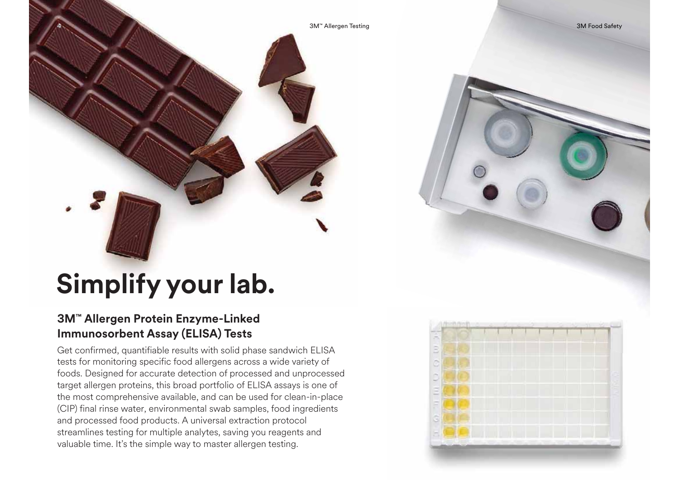4N Allergen Testing 3M™ Allergen Testing 3M™ Allergen Testing 3M Food Safety 3M Food Safety

# **Simplify your lab.**

## **3M™ Allergen Protein Enzyme-Linked Immunosorbent Assay (ELISA) Tests**

4

Get confirmed, quantifiable results with solid phase sandwich ELISA tests for monitoring specific food allergens across a wide variety of foods. Designed for accurate detection of processed and unprocessed target allergen proteins, this broad portfolio of ELISA assays is one of the most comprehensive available, and can be used for clean-in-place (CIP) final rinse water, environmental swab samples, food ingredients and processed food products. A universal extraction protocol streamlines testing for multiple analytes, saving you reagents and valuable time. It's the simple way to master allergen testing.



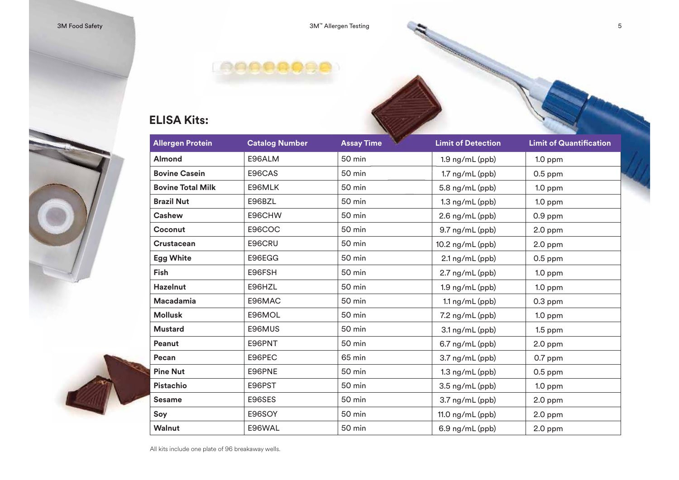## **ELISA Kits:**

| <b>Allergen Protein</b>  | <b>Catalog Number</b> | <b>Assay Time</b> | <b>Limit of Detection</b> | <b>Limit of Quantification</b> |
|--------------------------|-----------------------|-------------------|---------------------------|--------------------------------|
| Almond                   | E96ALM                | 50 min            | 1.9 ng/mL (ppb)           | $1.0$ ppm                      |
| <b>Bovine Casein</b>     | E96CAS                | 50 min            | $1.7$ ng/mL $(ppb)$       | $0.5$ ppm                      |
| <b>Bovine Total Milk</b> | E96MLK                | 50 min            | 5.8 ng/mL (ppb)           | $1.0$ ppm                      |
| <b>Brazil Nut</b>        | E96BZL                | 50 min            | $1.3$ ng/mL (ppb)         | $1.0$ ppm                      |
| <b>Cashew</b>            | E96CHW                | 50 min            | $2.6$ ng/mL (ppb)         | $0.9$ ppm                      |
| Coconut                  | <b>E96COC</b>         | 50 min            | 9.7 ng/mL (ppb)           | $2.0$ ppm                      |
| <b>Crustacean</b>        | E96CRU                | 50 min            | 10.2 ng/mL (ppb)          | $2.0$ ppm                      |
| <b>Egg White</b>         | E96EGG                | 50 min            | 2.1 ng/mL (ppb)           | $0.5$ ppm                      |
| Fish                     | E96FSH                | 50 min            | $2.7$ ng/mL (ppb)         | $1.0$ ppm                      |
| <b>Hazelnut</b>          | E96HZL                | 50 min            | $1.9$ ng/mL (ppb)         | $1.0$ ppm                      |
| Macadamia                | E96MAC                | 50 min            | $1.1$ ng/mL (ppb)         | $0.3$ ppm                      |
| <b>Mollusk</b>           | E96MOL                | 50 min            | 7.2 ng/mL (ppb)           | $1.0$ ppm                      |
| <b>Mustard</b>           | E96MUS                | 50 min            | 3.1 ng/mL (ppb)           | $1.5$ ppm                      |
| Peanut                   | E96PNT                | 50 min            | $6.7$ ng/mL $(ppb)$       | $2.0$ ppm                      |
| Pecan                    | E96PEC                | 65 min            | 3.7 ng/mL (ppb)           | $0.7$ ppm                      |
| <b>Pine Nut</b>          | E96PNE                | 50 min            | $1.3$ ng/mL (ppb)         | $0.5$ ppm                      |
| Pistachio                | E96PST                | <b>50 min</b>     | 3.5 ng/mL (ppb)           | $1.0$ ppm                      |
| <b>Sesame</b>            | E96SES                | 50 min            | 3.7 ng/mL (ppb)           | $2.0$ ppm                      |
| Soy                      | E96SOY                | 50 min            | 11.0 ng/mL (ppb)          | $2.0$ ppm                      |
| Walnut                   | E96WAL                | 50 min            | 6.9 ng/mL (ppb)           | $2.0$ ppm                      |

e de la companya de la companya de la companya de la companya de la companya de la companya de la companya de la companya de la companya de la companya de la companya de la companya de la companya de la companya de la comp

All kits include one plate of 96 breakaway wells.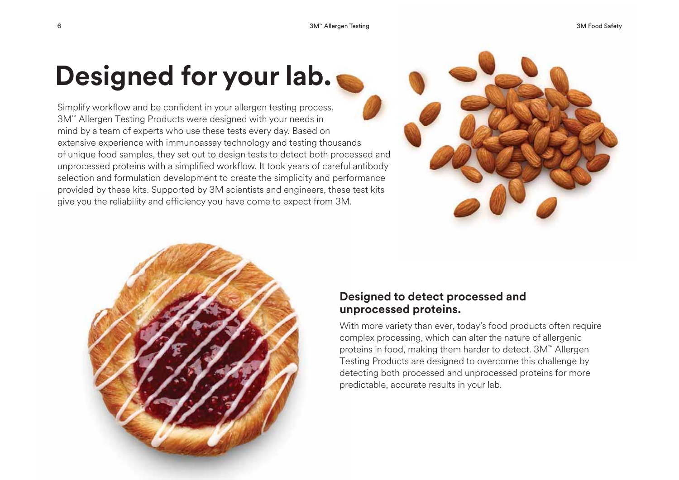## **Designed for your lab.**

Simplify workflow and be confident in your allergen testing process. 3M™ Allergen Testing Products were designed with your needs in mind by a team of experts who use these tests every day. Based on extensive experience with immunoassay technology and testing thousands of unique food samples, they set out to design tests to detect both processed and unprocessed proteins with a simplified workflow. It took years of careful antibody selection and formulation development to create the simplicity and performance provided by these kits. Supported by 3M scientists and engineers, these test kits give you the reliability and efficiency you have come to expect from 3M.





## **Designed to detect processed and unprocessed proteins.**

With more variety than ever, today's food products often require complex processing, which can alter the nature of allergenic proteins in food, making them harder to detect. 3M™ Allergen Testing Products are designed to overcome this challenge by detecting both processed and unprocessed proteins for more predictable, accurate results in your lab.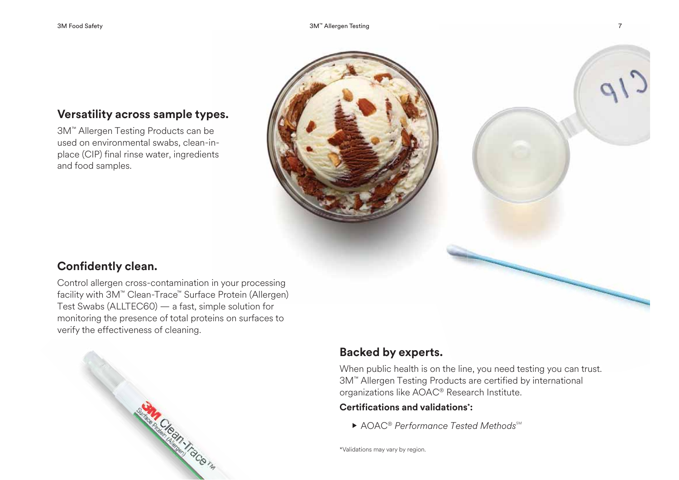## **Versatility across sample types.**

3M™ Allergen Testing Products can be used on environmental swabs, clean-inplace (CIP) final rinse water, ingredients and food samples.



## **Confidently clean.**

Control allergen cross-contamination in your processing facility with 3M™ Clean-Trace™ Surface Protein (Allergen) Test Swabs (ALLTEC60) — a fast, simple solution for monitoring the presence of total proteins on surfaces to verify the effectiveness of cleaning.



## **Backed by experts.**

When public health is on the line, you need testing you can trust. 3M™ Allergen Testing Products are certified by international organizations like AOAC® Research Institute.

### **Certifications and validations\*:**

▶ AOAC® Performance Tested Methods<sup>sм</sup>

\*Validations may vary by region.